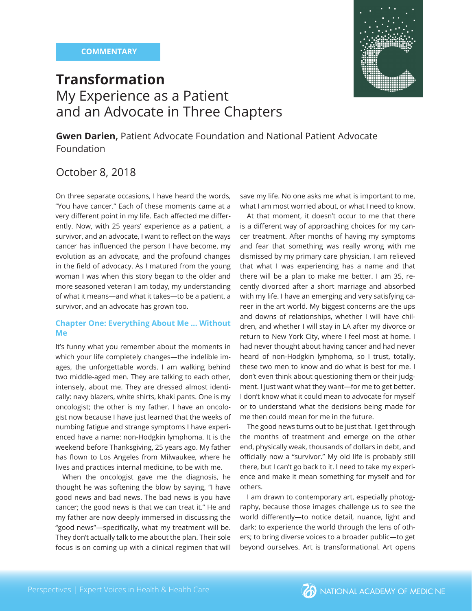

# **Transformation** My Experience as a Patient and an Advocate in Three Chapters

**Gwen Darien,** Patient Advocate Foundation and National Patient Advocate Foundation

# October 8, 2018

On three separate occasions, I have heard the words, "You have cancer." Each of these moments came at a very different point in my life. Each affected me differently. Now, with 25 years' experience as a patient, a survivor, and an advocate, I want to reflect on the ways cancer has influenced the person I have become, my evolution as an advocate, and the profound changes in the field of advocacy. As I matured from the young woman I was when this story began to the older and more seasoned veteran I am today, my understanding of what it means—and what it takes—to be a patient, a survivor, and an advocate has grown too.

# **Chapter One: Everything About Me ... Without Me**

It's funny what you remember about the moments in which your life completely changes—the indelible images, the unforgettable words. I am walking behind two middle-aged men. They are talking to each other, intensely, about me. They are dressed almost identically: navy blazers, white shirts, khaki pants. One is my oncologist; the other is my father. I have an oncologist now because I have just learned that the weeks of numbing fatigue and strange symptoms I have experienced have a name: non-Hodgkin lymphoma. It is the weekend before Thanksgiving, 25 years ago. My father has flown to Los Angeles from Milwaukee, where he lives and practices internal medicine, to be with me.

When the oncologist gave me the diagnosis, he thought he was softening the blow by saying, "I have good news and bad news. The bad news is you have cancer; the good news is that we can treat it." He and my father are now deeply immersed in discussing the "good news"-specifically, what my treatment will be. They don't actually talk to me about the plan. Their sole focus is on coming up with a clinical regimen that will save my life. No one asks me what is important to me, what I am most worried about, or what I need to know.

At that moment, it doesn't occur to me that there is a different way of approaching choices for my cancer treatment. After months of having my symptoms and fear that something was really wrong with me dismissed by my primary care physician, I am relieved that what I was experiencing has a name and that there will be a plan to make me better. I am 35, recently divorced after a short marriage and absorbed with my life. I have an emerging and very satisfying career in the art world. My biggest concerns are the ups and downs of relationships, whether I will have children, and whether I will stay in LA after my divorce or return to New York City, where I feel most at home. I had never thought about having cancer and had never heard of non-Hodgkin lymphoma, so I trust, totally, these two men to know and do what is best for me. I don't even think about questioning them or their judgment. I just want what they want—for me to get better. I don't know what it could mean to advocate for myself or to understand what the decisions being made for me then could mean for me in the future.

The good news turns out to be just that. I get through the months of treatment and emerge on the other end, physically weak, thousands of dollars in debt, and officially now a "survivor." My old life is probably still there, but I can't go back to it. I need to take my experience and make it mean something for myself and for others.

I am drawn to contemporary art, especially photography, because those images challenge us to see the world differently—to notice detail, nuance, light and dark; to experience the world through the lens of others; to bring diverse voices to a broader public—to get beyond ourselves. Art is transformational. Art opens

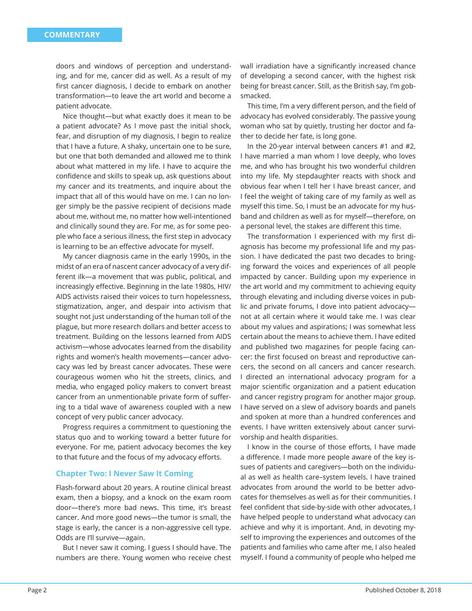doors and windows of perception and understanding, and for me, cancer did as well. As a result of my first cancer diagnosis, I decide to embark on another transformation—to leave the art world and become a patient advocate.

Nice thought—but what exactly does it mean to be a patient advocate? As I move past the initial shock, fear, and disruption of my diagnosis, I begin to realize that I have a future. A shaky, uncertain one to be sure, but one that both demanded and allowed me to think about what mattered in my life. I have to acquire the confidence and skills to speak up, ask questions about my cancer and its treatments, and inquire about the impact that all of this would have on me. I can no longer simply be the passive recipient of decisions made about me, without me, no matter how well-intentioned and clinically sound they are. For me, as for some people who face a serious illness, the first step in advocacy is learning to be an effective advocate for myself.

My cancer diagnosis came in the early 1990s, in the midst of an era of nascent cancer advocacy of a very different ilk—a movement that was public, political, and increasingly effective. Beginning in the late 1980s, HIV/ AIDS activists raised their voices to turn hopelessness, stigmatization, anger, and despair into activism that sought not just understanding of the human toll of the plague, but more research dollars and better access to treatment. Building on the lessons learned from AIDS activism—whose advocates learned from the disability rights and women's health movements—cancer advocacy was led by breast cancer advocates. These were courageous women who hit the streets, clinics, and media, who engaged policy makers to convert breast cancer from an unmentionable private form of suffering to a tidal wave of awareness coupled with a new concept of very public cancer advocacy.

Progress requires a commitment to questioning the status quo and to working toward a better future for everyone. For me, patient advocacy becomes the key to that future and the focus of my advocacy efforts.

#### **Chapter Two: I Never Saw It Coming**

Flash-forward about 20 years. A routine clinical breast exam, then a biopsy, and a knock on the exam room door—there's more bad news. This time, it's breast cancer. And more good news—the tumor is small, the stage is early, the cancer is a non-aggressive cell type. Odds are I'll survive—again.

But I never saw it coming. I guess I should have. The numbers are there. Young women who receive chest wall irradiation have a significantly increased chance of developing a second cancer, with the highest risk being for breast cancer. Still, as the British say, I'm gobsmacked.

This time, I'm a very different person, and the field of advocacy has evolved considerably. The passive young woman who sat by quietly, trusting her doctor and father to decide her fate, is long gone.

In the 20-year interval between cancers #1 and #2, I have married a man whom I love deeply, who loves me, and who has brought his two wonderful children into my life. My stepdaughter reacts with shock and obvious fear when I tell her I have breast cancer, and I feel the weight of taking care of my family as well as myself this time. So, I must be an advocate for my husband and children as well as for myself—therefore, on a personal level, the stakes are different this time.

The transformation I experienced with my first diagnosis has become my professional life and my passion. I have dedicated the past two decades to bringing forward the voices and experiences of all people impacted by cancer. Building upon my experience in the art world and my commitment to achieving equity through elevating and including diverse voices in public and private forums, I dove into patient advocacy not at all certain where it would take me. I was clear about my values and aspirations; I was somewhat less certain about the means to achieve them. I have edited and published two magazines for people facing cancer: the first focused on breast and reproductive cancers, the second on all cancers and cancer research. I directed an international advocacy program for a major scientific organization and a patient education and cancer registry program for another major group. I have served on a slew of advisory boards and panels and spoken at more than a hundred conferences and events. I have written extensively about cancer survivorship and health disparities.

I know in the course of those efforts, I have made a difference. I made more people aware of the key issues of patients and caregivers—both on the individual as well as health care–system levels. I have trained advocates from around the world to be better advocates for themselves as well as for their communities. I feel confident that side-by-side with other advocates, I have helped people to understand what advocacy can achieve and why it is important. And, in devoting myself to improving the experiences and outcomes of the patients and families who came after me, I also healed myself. I found a community of people who helped me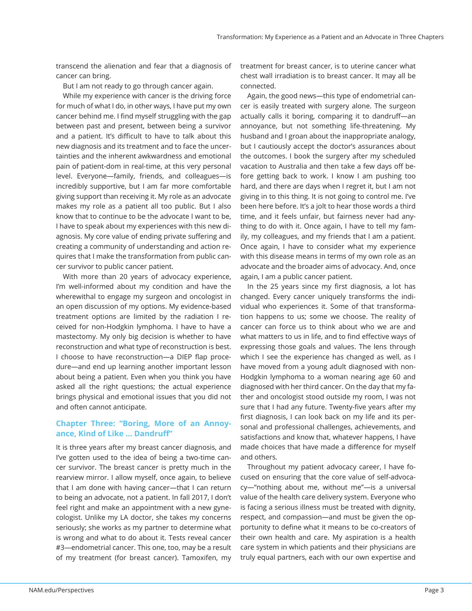transcend the alienation and fear that a diagnosis of cancer can bring.

But I am not ready to go through cancer again.

While my experience with cancer is the driving force for much of what I do, in other ways, I have put my own cancer behind me. I find myself struggling with the gap between past and present, between being a survivor and a patient. It's difficult to have to talk about this new diagnosis and its treatment and to face the uncertainties and the inherent awkwardness and emotional pain of patient-dom in real-time, at this very personal level. Everyone—family, friends, and colleagues—is incredibly supportive, but I am far more comfortable giving support than receiving it. My role as an advocate makes my role as a patient all too public. But I also know that to continue to be the advocate I want to be, I have to speak about my experiences with this new diagnosis. My core value of ending private suffering and creating a community of understanding and action requires that I make the transformation from public cancer survivor to public cancer patient.

With more than 20 years of advocacy experience, I'm well-informed about my condition and have the wherewithal to engage my surgeon and oncologist in an open discussion of my options. My evidence-based treatment options are limited by the radiation I received for non-Hodgkin lymphoma. I have to have a mastectomy. My only big decision is whether to have reconstruction and what type of reconstruction is best. I choose to have reconstruction—a DIEP flap procedure—and end up learning another important lesson about being a patient. Even when you think you have asked all the right questions; the actual experience brings physical and emotional issues that you did not and often cannot anticipate.

# **Chapter Three: "Boring, More of an Annoyance, Kind of Like ... Dandruff "**

It is three years after my breast cancer diagnosis, and I've gotten used to the idea of being a two-time cancer survivor. The breast cancer is pretty much in the rearview mirror. I allow myself, once again, to believe that I am done with having cancer—that I can return to being an advocate, not a patient. In fall 2017, I don't feel right and make an appointment with a new gynecologist. Unlike my LA doctor, she takes my concerns seriously; she works as my partner to determine what is wrong and what to do about it. Tests reveal cancer #3—endometrial cancer. This one, too, may be a result of my treatment (for breast cancer). Tamoxifen, my

treatment for breast cancer, is to uterine cancer what chest wall irradiation is to breast cancer. It may all be connected.

Again, the good news—this type of endometrial cancer is easily treated with surgery alone. The surgeon actually calls it boring, comparing it to dandruff-an annoyance, but not something life-threatening. My husband and I groan about the inappropriate analogy, but I cautiously accept the doctor's assurances about the outcomes. I book the surgery after my scheduled vacation to Australia and then take a few days off before getting back to work. I know I am pushing too hard, and there are days when I regret it, but I am not giving in to this thing. It is not going to control me. I've been here before. It's a jolt to hear those words a third time, and it feels unfair, but fairness never had anything to do with it. Once again, I have to tell my family, my colleagues, and my friends that I am a patient. Once again, I have to consider what my experience with this disease means in terms of my own role as an advocate and the broader aims of advocacy. And, once again, I am a public cancer patient.

In the 25 years since my first diagnosis, a lot has changed. Every cancer uniquely transforms the individual who experiences it. Some of that transformation happens to us; some we choose. The reality of cancer can force us to think about who we are and what matters to us in life, and to find effective ways of expressing those goals and values. The lens through which I see the experience has changed as well, as I have moved from a young adult diagnosed with non-Hodgkin lymphoma to a woman nearing age 60 and diagnosed with her third cancer. On the day that my father and oncologist stood outside my room, I was not sure that I had any future. Twenty-five years after my first diagnosis, I can look back on my life and its personal and professional challenges, achievements, and satisfactions and know that, whatever happens, I have made choices that have made a difference for myself and others.

Throughout my patient advocacy career, I have focused on ensuring that the core value of self-advocacy—"nothing about me, without me"—is a universal value of the health care delivery system. Everyone who is facing a serious illness must be treated with dignity, respect, and compassion—and must be given the opportunity to define what it means to be co-creators of their own health and care. My aspiration is a health care system in which patients and their physicians are truly equal partners, each with our own expertise and